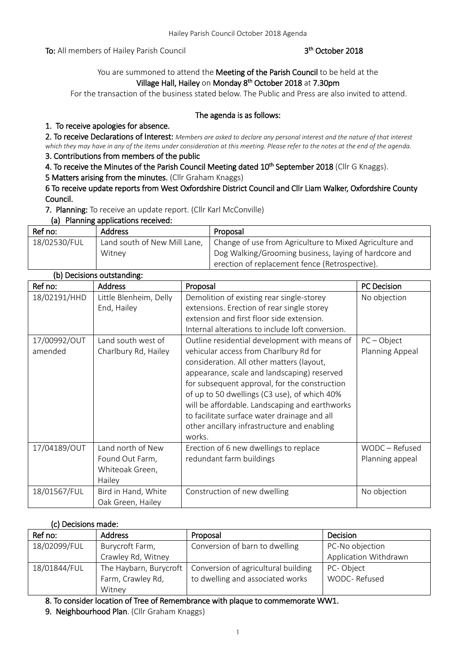To: All members of Hailey Parish Council

# th October 2018

# You are summoned to attend the Meeting of the Parish Council to be held at the Village Hall, Hailey on Monday 8<sup>th</sup> October 2018 at 7.30pm

For the transaction of the business stated below. The Public and Press are also invited to attend.

## The agenda is as follows:

# 1. To receive apologies for absence.

2. To receive Declarations of Interest: *Members are asked to declare any personal interest and the nature of that interest which they may have in any of the items under consideration at this meeting. Please refer to the notes at the end of the agenda.*

# 3. Contributions from members of the public

4. To receive the Minutes of the Parish Council Meeting dated 10<sup>th</sup> September 2018 (Cllr G Knaggs).

5 Matters arising from the minutes. (Cllr Graham Knaggs)

6 To receive update reports from West Oxfordshire District Council and Cllr Liam Walker, Oxfordshire County Council.

7. Planning: To receive an update report. (Cllr Karl McConville)

### (a) Planning applications received:

| Ref no:      | <b>Address</b>               | Proposal                                                |
|--------------|------------------------------|---------------------------------------------------------|
| 18/02530/FUL | Land south of New Mill Lane, | Change of use from Agriculture to Mixed Agriculture and |
|              | Witney                       | Dog Walking/Grooming business, laying of hardcore and   |
|              |                              | erection of replacement fence (Retrospective).          |

| (b) Decisions outstanding: |                        |                                                  |                    |
|----------------------------|------------------------|--------------------------------------------------|--------------------|
| Ref no:                    | <b>Address</b>         | Proposal                                         | <b>PC Decision</b> |
| 18/02191/HHD               | Little Blenheim, Delly | Demolition of existing rear single-storey        | No objection       |
|                            | End, Hailey            | extensions. Erection of rear single storey       |                    |
|                            |                        | extension and first floor side extension.        |                    |
|                            |                        | Internal alterations to include loft conversion. |                    |
| 17/00992/OUT               | Land south west of     | Outline residential development with means of    | $PC - Object$      |
| amended                    | Charlbury Rd, Hailey   | vehicular access from Charlbury Rd for           | Planning Appeal    |
|                            |                        | consideration. All other matters (layout,        |                    |
|                            |                        | appearance, scale and landscaping) reserved      |                    |
|                            |                        | for subsequent approval, for the construction    |                    |
|                            |                        | of up to 50 dwellings (C3 use), of which 40%     |                    |
|                            |                        | will be affordable. Landscaping and earthworks   |                    |
|                            |                        | to facilitate surface water drainage and all     |                    |
|                            |                        | other ancillary infrastructure and enabling      |                    |
|                            |                        | works.                                           |                    |
| 17/04189/OUT               | Land north of New      | Erection of 6 new dwellings to replace           | WODC - Refused     |
|                            | Found Out Farm,        | redundant farm buildings                         | Planning appeal    |
|                            | Whiteoak Green,        |                                                  |                    |
|                            | Hailey                 |                                                  |                    |
| 18/01567/FUL               | Bird in Hand, White    | Construction of new dwelling                     | No objection       |
|                            | Oak Green, Hailey      |                                                  |                    |

# (c) Decisions made:

| Ref no:      | <b>Address</b>     | Proposal                                                     | Decision                     |
|--------------|--------------------|--------------------------------------------------------------|------------------------------|
| 18/02099/FUL | Burycroft Farm,    | Conversion of barn to dwelling                               | PC-No objection              |
|              | Crawley Rd, Witney |                                                              | <b>Application Withdrawn</b> |
| 18/01844/FUL |                    | The Haybarn, Burycroft   Conversion of agricultural building | PC-Object                    |
|              | Farm, Crawley Rd,  | to dwelling and associated works                             | WODC-Refused                 |
|              | Witney             |                                                              |                              |

8. To consider location of Tree of Remembrance with plaque to commemorate WW1.

9. Neighbourhood Plan. (Cllr Graham Knaggs)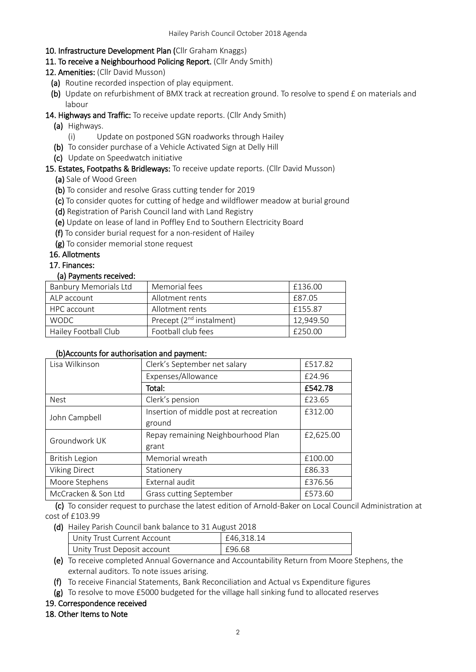## 10. Infrastructure Development Plan (Cllr Graham Knaggs)

## 11. To receive a Neighbourhood Policing Report. (Cllr Andy Smith)

# 12. Amenities: (Cllr David Musson)

- (a) Routine recorded inspection of play equipment.
- (b) Update on refurbishment of BMX track at recreation ground. To resolve to spend £ on materials and labour

## 14. Highways and Traffic: To receive update reports. (Cllr Andy Smith)

- (a) Highways.
	- (i) Update on postponed SGN roadworks through Hailey
- (b) To consider purchase of a Vehicle Activated Sign at Delly Hill
- (c) Update on Speedwatch initiative

### 15. Estates, Footpaths & Bridleways: To receive update reports. (Cllr David Musson)

- (a) Sale of Wood Green
- (b) To consider and resolve Grass cutting tender for 2019
- (c) To consider quotes for cutting of hedge and wildflower meadow at burial ground
- (d) Registration of Parish Council land with Land Registry
- (e) Update on lease of land in Poffley End to Southern Electricity Board
- (f) To consider burial request for a non-resident of Hailey
- (g) To consider memorial stone request

### 16. Allotments

#### 17. Finances:

### (a) Payments received:

| <b>Banbury Memorials Ltd</b> | Memorial fees                        | £136.00   |
|------------------------------|--------------------------------------|-----------|
| ALP account                  | Allotment rents                      | £87.05    |
| HPC account                  | Allotment rents                      | £155.87   |
| WODC                         | Precept (2 <sup>nd</sup> instalment) | 12,949.50 |
| Hailey Football Club         | Football club fees                   | £250.00   |

#### (b)Accounts for authorisation and payment:

| Clerk's September net salary           | £517.82   |
|----------------------------------------|-----------|
| Expenses/Allowance                     | £24.96    |
| Total:                                 | £542.78   |
| Clerk's pension                        | £23.65    |
| Insertion of middle post at recreation | £312.00   |
| ground                                 |           |
| Repay remaining Neighbourhood Plan     | £2,625.00 |
| grant                                  |           |
| Memorial wreath                        | £100.00   |
| Stationery                             | £86.33    |
| External audit                         | £376.56   |
| <b>Grass cutting September</b>         | £573.60   |
|                                        |           |

 (c) To consider request to purchase the latest edition of Arnold-Baker on Local Council Administration at cost of £103.99

(d) Hailey Parish Council bank balance to 31 August 2018

| Unity Trust Current Account | £46.318.14 |
|-----------------------------|------------|
| Unity Trust Deposit account | F96.68     |

(e) To receive completed Annual Governance and Accountability Return from Moore Stephens, the external auditors. To note issues arising.

(f) To receive Financial Statements, Bank Reconciliation and Actual vs Expenditure figures

(g) To resolve to move £5000 budgeted for the village hall sinking fund to allocated reserves

#### 19. Correspondence received

# 18. Other Items to Note